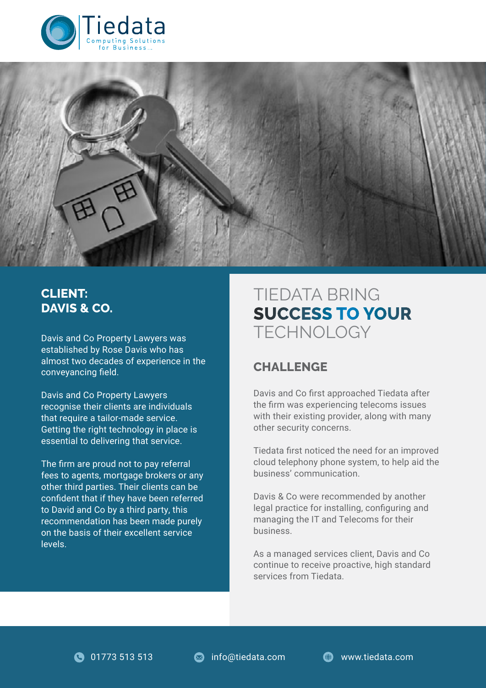



## **CLIENT: DAVIS & CO.**

established by Rose Davis who has almost two decades of experience in the conveyancing field.

Davis and Co Property Lawyers recognise their clients are individuals that require a tailor-made service. Getting the right technology in place is essential to delivering that service.

The firm are proud not to pay referral fees to agents, mortgage brokers or any other third parties. Their clients can be confident that if they have been referred to David and Co by a third party, this recommendation has been made purely on the basis of their excellent service levels.

# TIEDATA BRING **SUCCESS TO YOUR** Davis and Co Property Lawyers was TECHNOLOGY

#### **CHALLENGE**

Davis and Co first approached Tiedata after the firm was experiencing telecoms issues with their existing provider, along with many other security concerns.

Tiedata first noticed the need for an improved cloud telephony phone system, to help aid the business' communication.

Davis & Co were recommended by another legal practice for installing, configuring and managing the IT and Telecoms for their business.

As a managed services client, Davis and Co continue to receive proactive, high standard services from Tiedata.

**11773 513 513 COM** info@tiedata.com **COM** www.tiedata.com